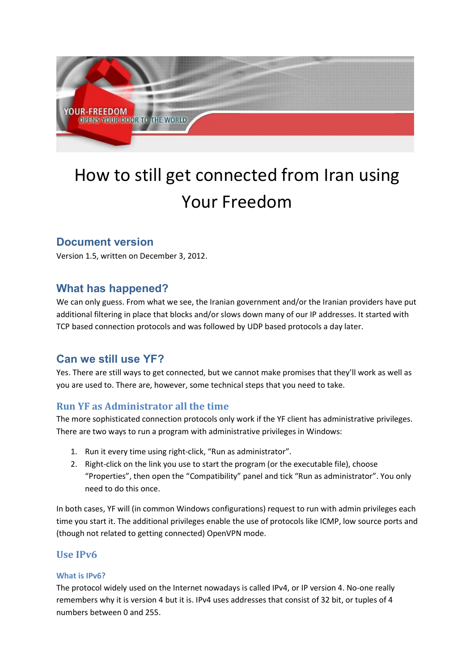

# How to still get connected from Iran using Your Freedom

# **Document version**

Version 1.5, written on December 3, 2012.

# **What has happened?**

We can only guess. From what we see, the Iranian government and/or the Iranian providers have put additional filtering in place that blocks and/or slows down many of our IP addresses. It started with TCP based connection protocols and was followed by UDP based protocols a day later.

# **Can we still use YF?**

Yes. There are still ways to get connected, but we cannot make promises that they'll work as well as you are used to. There are, however, some technical steps that you need to take.

# **Run YF as Administrator all the time**

The more sophisticated connection protocols only work if the YF client has administrative privileges. There are two ways to run a program with administrative privileges in Windows:

- 1. Run it every time using right-click, "Run as administrator".
- 2. Right-click on the link you use to start the program (or the executable file), choose "Properties", then open the "Compatibility" panel and tick "Run as administrator". You only need to do this once.

In both cases, YF will (in common Windows configurations) request to run with admin privileges each time you start it. The additional privileges enable the use of protocols like ICMP, low source ports and (though not related to getting connected) OpenVPN mode.

# **IIse IPv6**

### **What is IPv6?**

The protocol widely used on the Internet nowadays is called IPv4, or IP version 4. No-one really remembers why it is version 4 but it is. IPv4 uses addresses that consist of 32 bit, or tuples of 4 numbers between 0 and 255.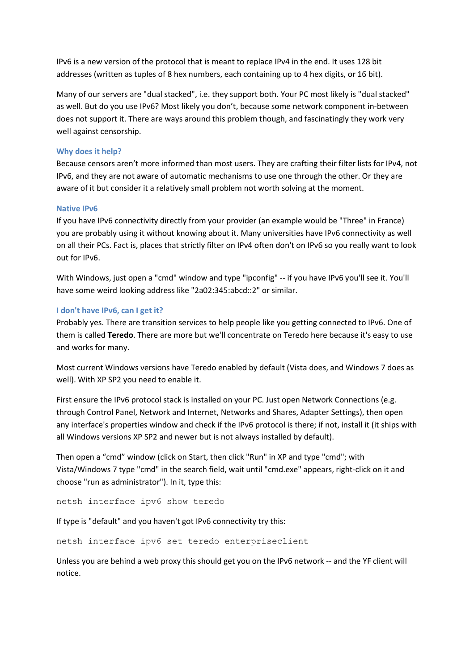IPv6 is a new version of the protocol that is meant to replace IPv4 in the end. It uses 128 bit addresses (written as tuples of 8 hex numbers, each containing up to 4 hex digits, or 16 bit).

Many of our servers are "dual stacked", i.e. they support both. Your PC most likely is "dual stacked" as well. But do you use IPv6? Most likely you don't, because some network component in-between does not support it. There are ways around this problem though, and fascinatingly they work very well against censorship.

#### **Why does it help?**

Because censors aren't more informed than most users. They are crafting their filter lists for IPv4, not IPv6, and they are not aware of automatic mechanisms to use one through the other. Or they are aware of it but consider it a relatively small problem not worth solving at the moment.

#### **Native IPv6**

If you have IPv6 connectivity directly from your provider (an example would be "Three" in France) you are probably using it without knowing about it. Many universities have IPv6 connectivity as well on all their PCs. Fact is, places that strictly filter on IPv4 often don't on IPv6 so you really want to look out for IPv6.

With Windows, just open a "cmd" window and type "ipconfig" -- if you have IPv6 you'll see it. You'll have some weird looking address like "2a02:345:abcd::2" or similar.

#### **I don't have IPv6, can I get it?**

Probably yes. There are transition services to help people like you getting connected to IPv6. One of them is called **Teredo**. There are more but we'll concentrate on Teredo here because it's easy to use and works for many.

Most current Windows versions have Teredo enabled by default (Vista does, and Windows 7 does as well). With XP SP2 you need to enable it.

First ensure the IPv6 protocol stack is installed on your PC. Just open Network Connections (e.g. through Control Panel, Network and Internet, Networks and Shares, Adapter Settings), then open any interface's properties window and check if the IPv6 protocol is there; if not, install it (it ships with all Windows versions XP SP2 and newer but is not always installed by default).

Then open a "cmd" window (click on Start, then click "Run" in XP and type "cmd"; with Vista/Windows 7 type "cmd" in the search field, wait until "cmd.exe" appears, right-click on it and choose "run as administrator"). In it, type this:

netsh interface ipv6 show teredo

If type is "default" and you haven't got IPv6 connectivity try this:

netsh interface ipv6 set teredo enterpriseclient

Unless you are behind a web proxy this should get you on the IPv6 network -- and the YF client will notice.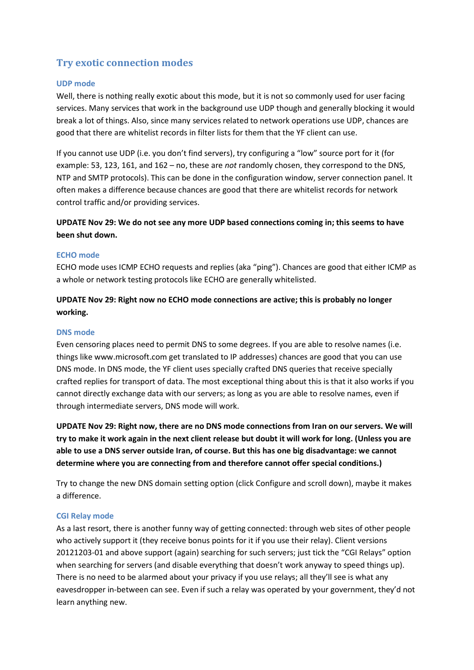# **Try exotic connection modes**

#### **UDP mode**

Well, there is nothing really exotic about this mode, but it is not so commonly used for user facing services. Many services that work in the background use UDP though and generally blocking it would break a lot of things. Also, since many services related to network operations use UDP, chances are good that there are whitelist records in filter lists for them that the YF client can use.

If you cannot use UDP (i.e. you don't find servers), try configuring a "low" source port for it (for example: 53, 123, 161, and 162 – no, these are *not* randomly chosen, they correspond to the DNS, NTP and SMTP protocols). This can be done in the configuration window, server connection panel. It often makes a difference because chances are good that there are whitelist records for network control traffic and/or providing services.

## **UPDATE Nov 29: We do not see any more UDP based connections coming in; this seems to have been shut down.**

#### **ECHO mode**

ECHO mode uses ICMP ECHO requests and replies (aka "ping"). Chances are good that either ICMP as a whole or network testing protocols like ECHO are generally whitelisted.

## **UPDATE Nov 29: Right now no ECHO mode connections are active; this is probably no longer working.**

#### **DNS mode**

Even censoring places need to permit DNS to some degrees. If you are able to resolve names (i.e. things like www.microsoft.com get translated to IP addresses) chances are good that you can use DNS mode. In DNS mode, the YF client uses specially crafted DNS queries that receive specially crafted replies for transport of data. The most exceptional thing about this is that it also works if you cannot directly exchange data with our servers; as long as you are able to resolve names, even if through intermediate servers, DNS mode will work.

**UPDATE Nov 29: Right now, there are no DNS mode connections from Iran on our servers. We will try to make it work again in the next client release but doubt it will work for long. (Unless you are able to use a DNS server outside Iran, of course. But this has one big disadvantage: we cannot determine where you are connecting from and therefore cannot offer special conditions.)** 

Try to change the new DNS domain setting option (click Configure and scroll down), maybe it makes a difference.

#### **CGI Relay mode**

As a last resort, there is another funny way of getting connected: through web sites of other people who actively support it (they receive bonus points for it if you use their relay). Client versions 20121203-01 and above support (again) searching for such servers; just tick the "CGI Relays" option when searching for servers (and disable everything that doesn't work anyway to speed things up). There is no need to be alarmed about your privacy if you use relays; all they'll see is what any eavesdropper in-between can see. Even if such a relay was operated by your government, they'd not learn anything new.